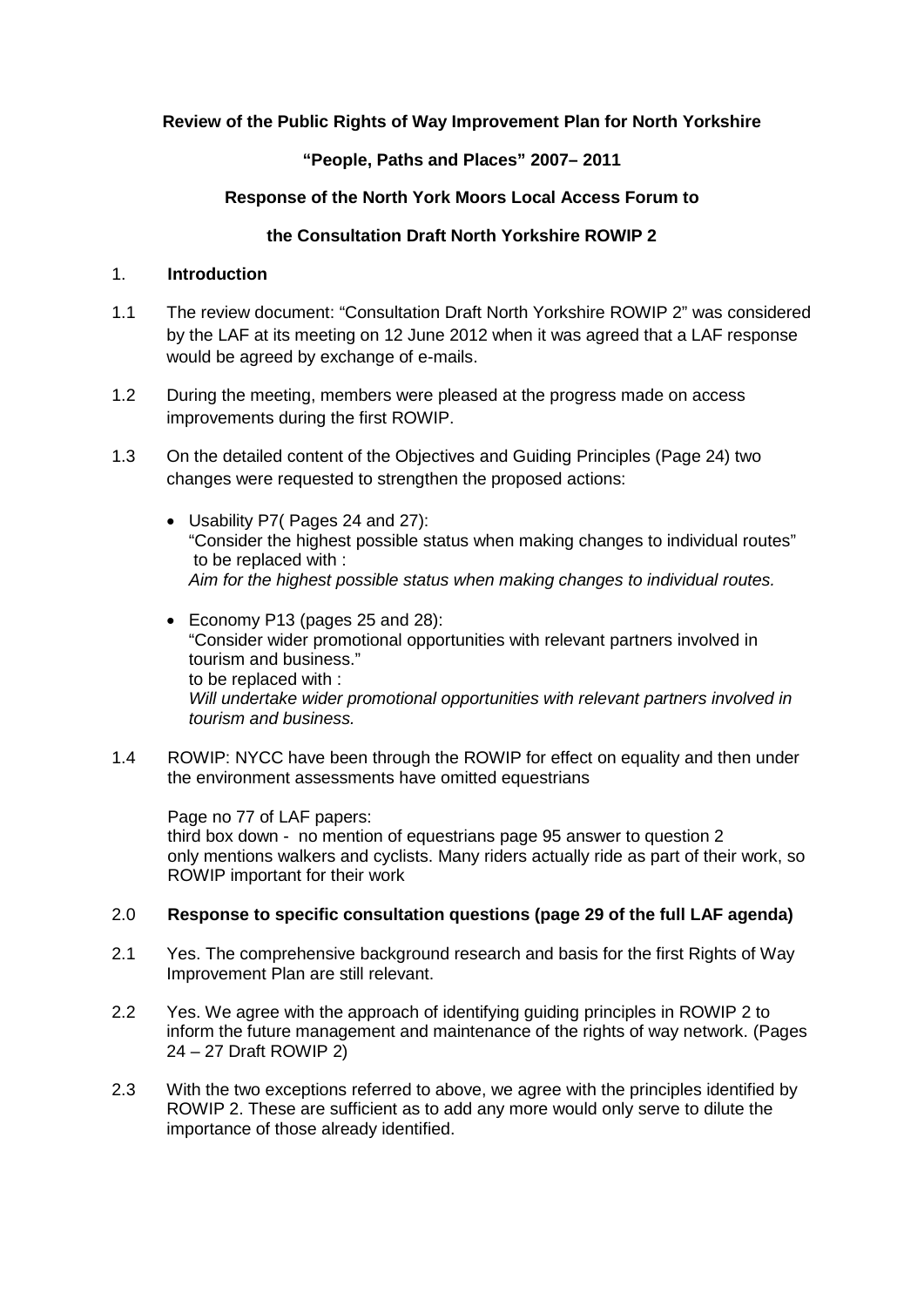# **Review of the Public Rights of Way Improvement Plan for North Yorkshire**

## **"People, Paths and Places" 2007– 2011**

## **Response of the North York Moors Local Access Forum to**

## **the Consultation Draft North Yorkshire ROWIP 2**

#### 1. **Introduction**

- 1.1 The review document: "Consultation Draft North Yorkshire ROWIP 2" was considered by the LAF at its meeting on 12 June 2012 when it was agreed that a LAF response would be agreed by exchange of e-mails.
- 1.2 During the meeting, members were pleased at the progress made on access improvements during the first ROWIP.
- 1.3 On the detailed content of the Objectives and Guiding Principles (Page 24) two changes were requested to strengthen the proposed actions:
	- Usability P7( Pages 24 and 27): "Consider the highest possible status when making changes to individual routes" to be replaced with : *Aim for the highest possible status when making changes to individual routes.*
	- Economy P13 (pages 25 and 28): "Consider wider promotional opportunities with relevant partners involved in tourism and business." to be replaced with : *Will undertake wider promotional opportunities with relevant partners involved in tourism and business.*
- 1.4 ROWIP: NYCC have been through the ROWIP for effect on equality and then under the environment assessments have omitted equestrians

Page no 77 of LAF papers: third box down - no mention of equestrians page 95 answer to question 2 only mentions walkers and cyclists. Many riders actually ride as part of their work, so ROWIP important for their work

#### 2.0 **Response to specific consultation questions (page 29 of the full LAF agenda)**

- 2.1 Yes. The comprehensive background research and basis for the first Rights of Way Improvement Plan are still relevant.
- 2.2 Yes. We agree with the approach of identifying guiding principles in ROWIP 2 to inform the future management and maintenance of the rights of way network. (Pages 24 – 27 Draft ROWIP 2)
- 2.3 With the two exceptions referred to above, we agree with the principles identified by ROWIP 2. These are sufficient as to add any more would only serve to dilute the importance of those already identified.